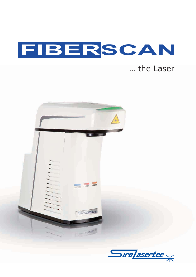

### ... the Laser



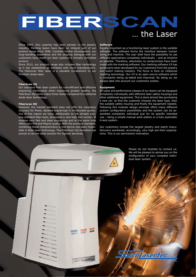# FIBERSCAN … the Laser

Since 1993, Siro Lasertec has been pioneer in the jewelry industry. Marking lasers have been an integral part of our product range since 1996. Constant further development, our long-standing experience and the ongoing dialogue with our customers have made our laser systems a virtually unrivalled product.

Since 2012, our product range also includes fiber technology as it has established as standard with most manufacturers. The Fiberscan fiber laser is a valuable complement to our FireScan diode laser.

#### **FiberScan SQ**

Our standard fiber laser system for cost-efficient and effective engraving. Particularly when engraving greater depths, the FiberScan SQ works many times faster compared to traditional diode laser technology.

#### **Fiberscan HQ**

However, the market standard does not offer the necessary accuracy for finest, detailed engravings in immaculate quality. Out of this reason we have, additionally to the already existing standard fiber laser, developed a new high-end version. It enables very fast and deep engravings and at the same time offers very fine and filigree quality. With the previous standard, combining these characteristics in one device has been impossible in fiber laser technology. The FiberScan HQ therefore has proven to be the ideal solution for highest demands.

**CONTRACTOR** 

 $S$ 

#### **Software**

Equally important as a functioning laser system is the suitable software. The software forms the interface between human being and machine. The user shall have the possibility to use different applications completely individually – and as intuitive as possible. Therefore, absolutely no compromises have been made with the marking software. Our marking software V3 has particularly been developed for our customers from the jewelry and watch making industry. The focus is here on rotational marking technology. Our V3 is an open source software which is constantly being up-dated and improved. By doing so, we always take into account our customers wishes.

#### **Equipment**

All types and performance classes of our lasers can be equipped completely individually with different laser safety housings and other additional equipment. This is done almost like purchasing a new car: at first the customer chooses the laser type, then the suitable safety housing and finally the equipment needed. Following this modular design principle offers many different system configuration possibilities and the system can be assembled completely individual just for its specific intended use – being a simple manual work station or a fully automatic 4-axis system.

Our customers include the largest jewelry and watch manufacturers worldwide; accordingly, very high are their expectations. This is our permanent motivation.

> Please do not hesitate to contact us. We will be pleased to advise you on the configuration of your complete individual laser system.

**SAMO TESEMBER**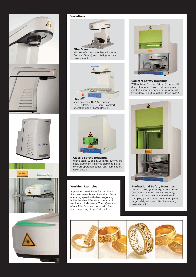

#### **Variations**



with set of accessories Pro, with autom.  $Z$ -axis (100mm) and rotating module, Laser class 4.



#### **Flexlift**

open system with 2 Axis support  $(Z = 180$ mm,  $X = 240$ mm), comfort operation panel, Laser class 4.



**Classic Safety Housings** With autom. Z-axis (100 mm), autom. lift door, aluminum T-slotted clamping plate, comfort operation panel, LED illumination, laser class 1.

#### **Working Examples**

Application possibilities for our Fiber-Scan are versatile and individual. Faster operating speed with deep engravings is the decisive difference compared to traditional diode lasers. The HQ-version of our FiberScan convinces with finest laser engravings in perfect quality.



#### **Comfort Safety Housings**

With autom. Z-axis (100 mm), autom.lift door, aluminum T-slotted clamping plate, comfort operation panel, extra-large safety window, LED illumination, laser class 1.



**Professional Safety Housings** Autom. Z-axis (450 mm), autom. X-axis  $(550 \text{ mm})$ , autom. Y-axis  $(350 \text{ mm})$ , autom. lift door, aluminum T-slotted clamping plate, comfort operation panel, large safely window, LED illumination, laser class 1.